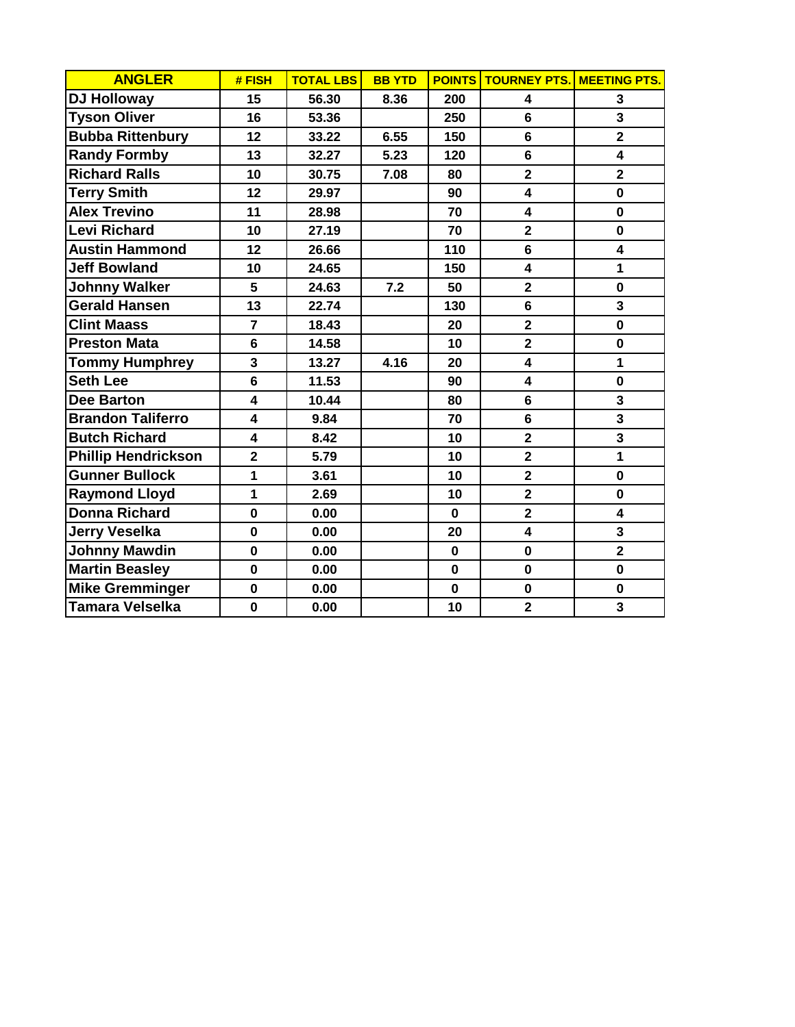| <b>ANGLER</b>              | # FISH                  | <b>TOTAL LBS</b> | <b>BB YTD</b> |             | <b>POINTS TOURNEY PTS. MEETING PTS.</b> |                         |
|----------------------------|-------------------------|------------------|---------------|-------------|-----------------------------------------|-------------------------|
| <b>DJ Holloway</b>         | 15                      | 56.30            | 8.36          | 200         | $\overline{\mathbf{4}}$                 | 3                       |
| <b>Tyson Oliver</b>        | 16                      | 53.36            |               | 250         | 6                                       | 3                       |
| <b>Bubba Rittenbury</b>    | 12                      | 33.22            | 6.55          | 150         | 6                                       | $\overline{2}$          |
| <b>Randy Formby</b>        | 13                      | 32.27            | 5.23          | 120         | 6                                       | $\overline{\mathbf{4}}$ |
| <b>Richard Ralls</b>       | 10                      | 30.75            | 7.08          | 80          | $\overline{\mathbf{2}}$                 | $\overline{2}$          |
| <b>Terry Smith</b>         | 12                      | 29.97            |               | 90          | $\overline{\mathbf{4}}$                 | $\mathbf 0$             |
| <b>Alex Trevino</b>        | 11                      | 28.98            |               | 70          | $\overline{\mathbf{4}}$                 | $\mathbf 0$             |
| <b>Levi Richard</b>        | 10                      | 27.19            |               | 70          | $\overline{2}$                          | $\mathbf 0$             |
| <b>Austin Hammond</b>      | 12                      | 26.66            |               | 110         | $6\phantom{1}$                          | 4                       |
| <b>Jeff Bowland</b>        | 10                      | 24.65            |               | 150         | $\overline{\mathbf{4}}$                 | $\mathbf{1}$            |
| <b>Johnny Walker</b>       | 5                       | 24.63            | 7.2           | 50          | $\overline{\mathbf{2}}$                 | $\mathbf 0$             |
| <b>Gerald Hansen</b>       | 13                      | 22.74            |               | 130         | 6                                       | $\overline{\mathbf{3}}$ |
| <b>Clint Maass</b>         | $\overline{7}$          | 18.43            |               | 20          | $\overline{\mathbf{2}}$                 | $\mathbf{0}$            |
| <b>Preston Mata</b>        | 6                       | 14.58            |               | 10          | $\overline{\mathbf{2}}$                 | $\mathbf 0$             |
| <b>Tommy Humphrey</b>      | 3                       | 13.27            | 4.16          | 20          | $\overline{\mathbf{4}}$                 | 1                       |
| <b>Seth Lee</b>            | 6                       | 11.53            |               | 90          | $\overline{\mathbf{4}}$                 | $\mathbf 0$             |
| <b>Dee Barton</b>          | 4                       | 10.44            |               | 80          | $6\phantom{1}$                          | 3                       |
| <b>Brandon Taliferro</b>   | $\overline{\mathbf{4}}$ | 9.84             |               | 70          | $6\phantom{1}$                          | $\overline{\mathbf{3}}$ |
| <b>Butch Richard</b>       | $\overline{\mathbf{4}}$ | 8.42             |               | 10          | $\overline{\mathbf{2}}$                 | $\overline{\mathbf{3}}$ |
| <b>Phillip Hendrickson</b> | $\overline{2}$          | 5.79             |               | 10          | $\overline{\mathbf{2}}$                 | $\mathbf{1}$            |
| <b>Gunner Bullock</b>      | 1                       | 3.61             |               | 10          | $\mathbf{2}$                            | $\mathbf 0$             |
| <b>Raymond Lloyd</b>       | 1                       | 2.69             |               | 10          | $\overline{2}$                          | $\mathbf{0}$            |
| <b>Donna Richard</b>       | $\mathbf 0$             | 0.00             |               | $\mathbf 0$ | $\overline{\mathbf{2}}$                 | 4                       |
| <b>Jerry Veselka</b>       | $\mathbf 0$             | 0.00             |               | 20          | $\overline{\mathbf{4}}$                 | 3                       |
| <b>Johnny Mawdin</b>       | $\mathbf 0$             | 0.00             |               | $\mathbf 0$ | $\mathbf 0$                             | $\overline{2}$          |
| <b>Martin Beasley</b>      | $\mathbf 0$             | 0.00             |               | $\mathbf 0$ | $\mathbf 0$                             | $\mathbf 0$             |
| <b>Mike Gremminger</b>     | $\mathbf 0$             | 0.00             |               | $\mathbf 0$ | $\mathbf 0$                             | $\mathbf 0$             |
| <b>Tamara Velselka</b>     | $\mathbf 0$             | 0.00             |               | 10          | $\overline{2}$                          | $\overline{\mathbf{3}}$ |